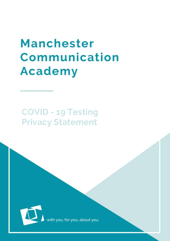# **Manchester** Communication **Academy**

# **COVID - 19 Testing Privacy Statement**



you, for you, about you.

MCA | COVID-19 | COVID-19 | COVID-19 | COVID-19 | COVID-19 | COVID-19 | COVID-19 | COVID-19 | COVID-19 | COVID-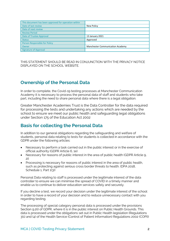| This document has been approved for operation within |                                         |
|------------------------------------------------------|-----------------------------------------|
| Date of last review                                  | New Policy                              |
| Date of next review                                  |                                         |
| <b>Review Period</b>                                 |                                         |
| Date of Trustee Approval                             | 13 January 2021                         |
| <b>Status</b>                                        | Approved                                |
| Person Responsible for Policy                        |                                         |
| Owner                                                | <b>Manchester Communication Academy</b> |
| <b>Signature of Approval</b>                         |                                         |

THIS STATEMENT SHOULD BE READ IN CONJUNCTION WITH THE PRIVACY NOTICE DISPLAYED ON THE SCHOOL WEBSITE.

#### **Ownership of the Personal Data**

In order to complete, the Covid-19 testing processes at Manchester Communication Academy it is necessary to process the personal data of staff and students who take part, including the need to share personal data where there is a legal obligation.

Greater Manchester Academies Trust is the Data Controller for the data required for processing the tests and undertaking any actions which are needed by the school to ensure we meet our public health and safeguarding legal obligations under Section 175 of the Education Act 2002

#### **Basis for collecting the Personal Data**

In addition to our general obligations regarding the safeguarding and welfare of students, personal data relating to tests for students is collected in accordance with the GDPR under the following articles:

- Necessary to perform a task carried out in the public interest or in the exercise of official authority (GDPR Article 6, 1e)
- Necessary for reasons of public interest in the area of public health (GDPR Article 9,  $2i)$
- Processing is necessary for reasons of public interest in the area of public health, such as protecting against serious cross border threats to health. (DPA 2018, Schedule 1, Part 1(3))

Personal Data relating to staff is processed under the legitimate interest of the data controller to ensure we can minimise the spread of COVID in a timely manner and enable us to continue to deliver education services safely and securely.

If you decline a test, we record your decision under the legitimate interest of the school in order to have a record of your decision and to reduce unnecessary contact with you regarding testing.

The processing of special category personal data is processed under the provisions Section 9.2(i) of GDPR, where it is in the public interest on Public Health Grounds. This data is processed under the obligations set out in Public Health legislation (Regulations 3(1) and (4) of the Health Service (Control of Patient Information) Regulations 2002 (COPI))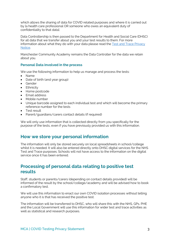which allows the sharing of data for COVID related purposes and where it is carried out by [a health care professional OR someone who owes an equivalent duty of confidentiality to that data].

Data Controllership is then passed to the Department for Health and Social Care (DHSC) for all data that we transfer about you and your test results to them. For more information about what they do with your data please read the [Test and Trace Privacy](https://www.gov.uk/government/publications/nhs-covid-19-app-privacy-information/nhs-test-and-trace-app-early-adopter-trial-august-2020-privacy-notice)  [Notice.](https://www.gov.uk/government/publications/nhs-covid-19-app-privacy-information/nhs-test-and-trace-app-early-adopter-trial-august-2020-privacy-notice) 

Manchester Community Academy remains the Data Controller for the data we retain about you.

#### **Personal Data involved in the process**

We use the following information to help us manage and process the tests:

- Name
- Date of birth (and year group)
- **•** Gender
- Ethnicity
- Home postcode
- Email address
- Mobile number
- Unique barcode assigned to each individual test and which will become the primary reference number for the tests
- Test result
- Parent/guardians/carers contact details (if required)

We will only use information that is collected directly from you specifically for the purpose of the tests, even if you have previously provided us with this information.

#### **How we store your personal information**

The information will only be stored securely on local spreadsheets in school/college whilst it is needed. It will also be entered directly onto DHSC digital services for the NHS Test and Trace purposes. Schools will not have access to the information on the digital service once it has been entered.

#### **Processing of personal data relating to positive test results**

Staff, students or parents/carers (depending on contact details provided) will be informed of the result by the school/college/academy and will be advised how to book a confirmatory test.

We will use this information to enact our own COVID isolation processes without telling anyone who it is that has received the positive test.

The information will be transferred to DHSC, who will share this with the NHS, GPs. PHE and the Local Government will use this information for wider test and trace activities as well as statistical and research purposes.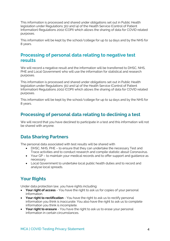This information is processed and shared under obligations set out in Public Health legislation under Regulations 3(1) and (4) of the Health Service (Control of Patient Information) Regulations 2002 (COPI) which allows the sharing of data for COVID related purposes.

This information will be kept by the school/college for up to 14 days and by the NHS for 8 years.

#### **Processing of personal data relating to negative test results**

We will record a negative result and the information will be transferred to DHSC, NHS, PHE and Local Government who will use the information for statistical and research purposes.

This information is processed and shared under obligations set out in Public Health legislation under Regulations 3(1) and (4) of the Health Service (Control of Patient Information) Regulations 2002 (COPI) which allows the sharing of data for COVID related purposes.

This information will be kept by the school/college for up to 14 days and by the NHS for 8 years.

#### **Processing of personal data relating to declining a test**

We will record that you have declined to participate in a test and this information will not be shared with anyone.

#### **Data Sharing Partners**

The personal data associated with test results will be shared with

- DHSC, NHS, PHE to ensure that they can undertake the necessary Test and Trace activities and to conduct research and compile statistic about Coronavirus.
- Your GP to maintain your medical records and to offer support and guidance as necessary
- Local Government to undertake local public health duties and to record and analyse local spreads.

## **Your Rights**

Under data protection law, you have rights including:

- **Your right of access** You have the right to ask us for copies of your personal information.
- **Your right to rectification** You have the right to ask us to rectify personal information you think is inaccurate. You also have the right to ask us to complete information you think is incomplete.
- **Your right to erasure** You have the right to ask us to erase your personal information in certain circumstances.